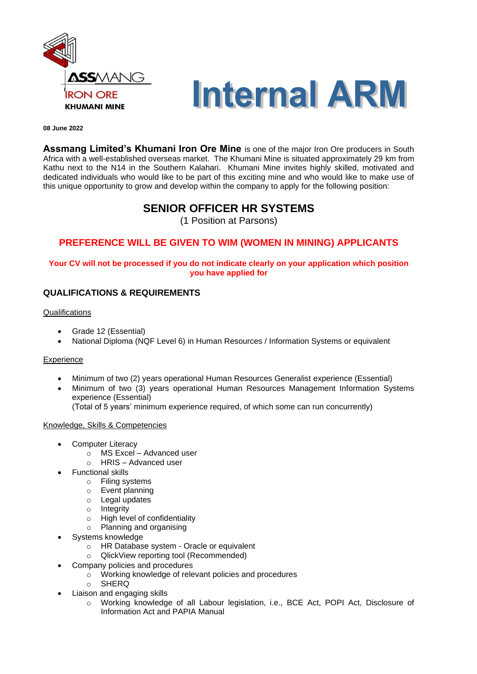



#### **08 June 2022**

**Assmang Limited's Khumani Iron Ore Mine** is one of the major Iron Ore producers in South Africa with a well-established overseas market. The Khumani Mine is situated approximately 29 km from Kathu next to the N14 in the Southern Kalahari. Khumani Mine invites highly skilled, motivated and dedicated individuals who would like to be part of this exciting mine and who would like to make use of this unique opportunity to grow and develop within the company to apply for the following position:

# **SENIOR OFFICER HR SYSTEMS**

(1 Position at Parsons)

## **PREFERENCE WILL BE GIVEN TO WIM (WOMEN IN MINING) APPLICANTS**

### **Your CV will not be processed if you do not indicate clearly on your application which position you have applied for**

### **QUALIFICATIONS & REQUIREMENTS**

#### **Qualifications**

- Grade 12 (Essential)
- National Diploma (NQF Level 6) in Human Resources / Information Systems or equivalent

#### **Experience**

- Minimum of two (2) years operational Human Resources Generalist experience (Essential)
- Minimum of two (3) years operational Human Resources Management Information Systems experience (Essential)
	- (Total of 5 years' minimum experience required, of which some can run concurrently)

#### Knowledge, Skills & Competencies

- Computer Literacy
	- $\circ$  MS Excel Advanced user<br>  $\circ$  HRIS Advanced user
	- HRIS Advanced user
- Functional skills
	- o Filing systems
	- o Event planning
	- o Legal updates
	- o Integrity
	- o High level of confidentiality
	- o Planning and organising
- Systems knowledge
	- o HR Database system Oracle or equivalent
	- o QlickView reporting tool (Recommended)
- Company policies and procedures
	- o Working knowledge of relevant policies and procedures
	- o SHERQ
- Liaison and engaging skills
	- o Working knowledge of all Labour legislation, i.e., BCE Act, POPI Act, Disclosure of Information Act and PAPIA Manual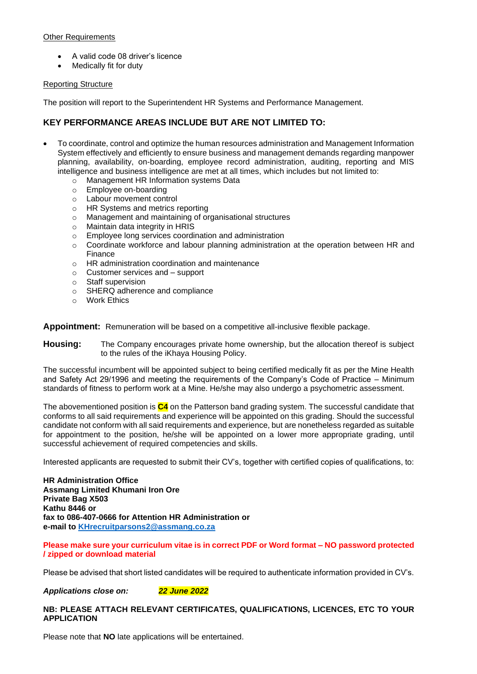#### Other Requirements

- A valid code 08 driver's licence
- Medically fit for duty

#### Reporting Structure

The position will report to the Superintendent HR Systems and Performance Management.

### **KEY PERFORMANCE AREAS INCLUDE BUT ARE NOT LIMITED TO:**

- To coordinate, control and optimize the human resources administration and Management Information System effectively and efficiently to ensure business and management demands regarding manpower planning, availability, on-boarding, employee record administration, auditing, reporting and MIS intelligence and business intelligence are met at all times, which includes but not limited to:
	- o Management HR Information systems Data
	- o Employee on-boarding
	- o Labour movement control
	- o HR Systems and metrics reporting
	- o Management and maintaining of organisational structures
	- o Maintain data integrity in HRIS
	- o Employee long services coordination and administration
	- $\circ$  Coordinate workforce and labour planning administration at the operation between HR and Finance
	- o HR administration coordination and maintenance
	- o Customer services and support
	- o Staff supervision
	- o SHERQ adherence and compliance
	- o Work Ethics

**Appointment:** Remuneration will be based on a competitive all-inclusive flexible package.

**Housing:** The Company encourages private home ownership, but the allocation thereof is subject to the rules of the iKhaya Housing Policy.

The successful incumbent will be appointed subject to being certified medically fit as per the Mine Health and Safety Act 29/1996 and meeting the requirements of the Company's Code of Practice – Minimum standards of fitness to perform work at a Mine. He/she may also undergo a psychometric assessment.

The abovementioned position is **C4** on the Patterson band grading system. The successful candidate that conforms to all said requirements and experience will be appointed on this grading. Should the successful candidate not conform with all said requirements and experience, but are nonetheless regarded as suitable for appointment to the position, he/she will be appointed on a lower more appropriate grading, until successful achievement of required competencies and skills.

Interested applicants are requested to submit their CV's, together with certified copies of qualifications, to:

**HR Administration Office Assmang Limited Khumani Iron Ore Private Bag X503 Kathu 8446 or fax to 086-407-0666 for Attention HR Administration or e-mail to [KHrecruitparsons2@assmang.co.za](mailto:KHrecruitparsons2@assmang.co.za)** 

**Please make sure your curriculum vitae is in correct PDF or Word format – NO password protected / zipped or download material**

Please be advised that short listed candidates will be required to authenticate information provided in CV's.

*Applications close on: 22 June 2022*

#### **NB: PLEASE ATTACH RELEVANT CERTIFICATES, QUALIFICATIONS, LICENCES, ETC TO YOUR APPLICATION**

Please note that **NO** late applications will be entertained.